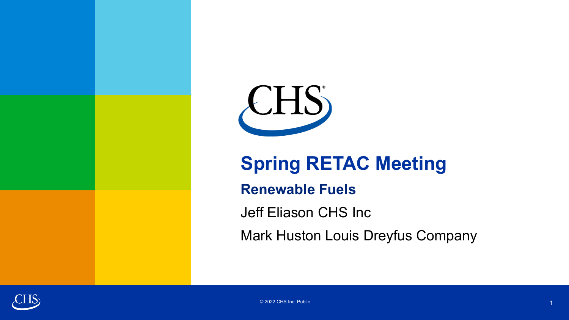

# **Spring RETAC Meeting**

#### **Renewable Fuels**

Jeff Eliason CHS Inc

Mark Huston Louis Dreyfus Company



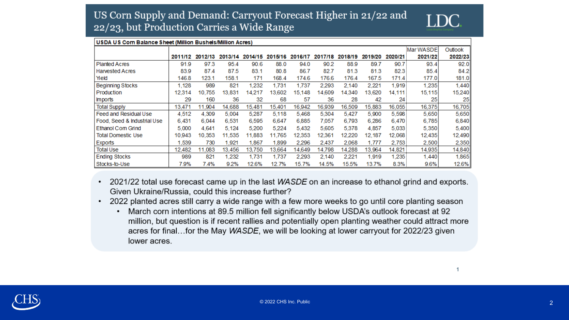

| USDA US Corn Balance Sheet (Million Bushels/Million Acres) |         |         |         |                 |        |         |                 |        |         |         |           |         |
|------------------------------------------------------------|---------|---------|---------|-----------------|--------|---------|-----------------|--------|---------|---------|-----------|---------|
|                                                            |         |         |         |                 |        |         |                 |        |         |         | Mar WASDE | Outlook |
|                                                            | 2011/12 | 2012/13 | 2013/14 | 2014/15 2015/16 |        | 2016/17 | 2017/18 2018/19 |        | 2019/20 | 2020/21 | 2021/22   | 2022/23 |
| <b>Planted Acres</b>                                       | 91.9    | 97.3    | 95.4    | 90.6            | 88.0   | 94.0    | 90.2            | 88.9   | 89.7    | 90.7    | 93.4      | 92.0    |
| <b>Harvested Acres</b>                                     | 83.9    | 87.4    | 87.5    | 83.1            | 80.8   | 86.7    | 82.7            | 81.3   | 81.3    | 82.3    | 85.4      | 84.2    |
| Yield                                                      | 146.8   | 123.1   | 158.1   | 171             | 168.4  | 174.6   | 176.6           | 176.4  | 167.5   | 171.4   | 177.0     | 181.0   |
| Beginning Stocks                                           | 1.128   | 989     | 821     | 1.232           | 1.731  | 1.737   | 2.293           | 2.140  | 2,221   | 1,919   | 1,235     | 1,440   |
| Production                                                 | 12.314  | 10.755  | 13.831  | 14,217          | 13,602 | 15.148  | 14.609          | 14.340 | 13,620  | 14.111  | 15.115    | 15,240  |
| Imports                                                    | 29      | 160     | 36      | 32              | 68     | 57      | 36              | 28     | 42      | 24      | 25        | 25      |
| <b>Total Supply</b>                                        | 13,471  | 11,904  | 14,688  | 15,481          | 15,401 | 16,942  | 16,939          | 16,509 | 15,883  | 16,055  | 16,375    | 16,705  |
| <b>Feed and Residual Use</b>                               | 4,512   | 4,309   | 5,004   | 5,287           | 5,118  | 5,468   | 5,304           | 5,427  | 5,900   | 5,598   | 5,650     | 5,650   |
| Food, Seed & Industrial Use                                | 6,431   | 6,044   | 6,531   | 6,595           | 6,647  | 6,885   | 7,057           | 6,793  | 6.286   | 6,470   | 6,785     | 6,840   |
| Ethanol Com Grind                                          | 5.000   | 4,641   | 5.124   | 5,200           | 5,224  | 5.432   | 5,605           | 5,378  | 4.857   | 5,033   | 5,350     | 5,400   |
| <b>Total Domestic Use</b>                                  | 10,943  | 10.353  | 11,535  | 11.883          | 11.765 | 12,353  | 12,361          | 12,220 | 12.187  | 12,068  | 12,435    | 12,490  |
| Exports                                                    | 1.539   | 730     | 1.921   | 1,867           | 1.899  | 2.296   | 2.437           | 2.068  | 1.777   | 2,753   | 2,500     | 2,350   |
| <b>Total Use</b>                                           | 12,482  | 11,083  | 13,456  | 13,750          | 13,664 | 14,649  | 14,798          | 14,288 | 13,964  | 14,821  | 14,935    | 14,840  |
| <b>Ending Stocks</b>                                       | 989     | 821     | 1,232   | 1,731           | 1.737  | 2,293   | 2,140           | 2,221  | 1.919   | 1,235   | 1,440     | 1,865   |
| Stocks-to-Use                                              | 7.9%    | 7.4%    | 9.2%    | 12.6%           | 12.7%  | 15.7%   | 14.5%           | 15.5%  | 13.7%   | 8.3%    | 9.6%      | 12.6%   |

- 2021/22 total use forecast came up in the last WASDE on an increase to ethanol grind and exports. Given Ukraine/Russia, could this increase further?
- 2022 planted acres still carry a wide range with a few more weeks to go until core planting season
	- March corn intentions at 89.5 million fell significantly below USDA's outlook forecast at 92  $\bullet$ million, but question is if recent rallies and potentially open planting weather could attract more acres for final...for the May WASDE, we will be looking at lower carryout for 2022/23 given lower acres.

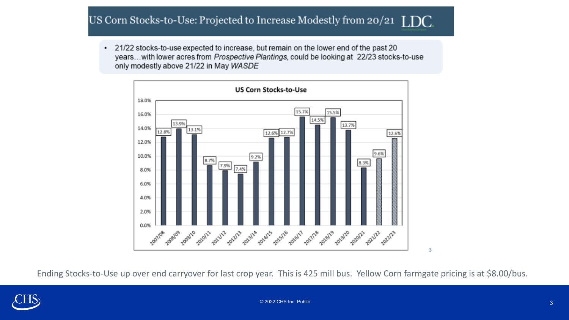#### US Corn Stocks-to-Use: Projected to Increase Modestly from 20/21 LDC.

21/22 stocks-to-use expected to increase, but remain on the lower end of the past 20 years...with lower acres from Prospective Plantings, could be looking at 22/23 stocks-to-use only modestly above 21/22 in May WASDE



Ending Stocks-to-Use up over end carryover for last crop year. This is 425 mill bus. Yellow Corn farmgate pricing is at \$8.00/bus.



3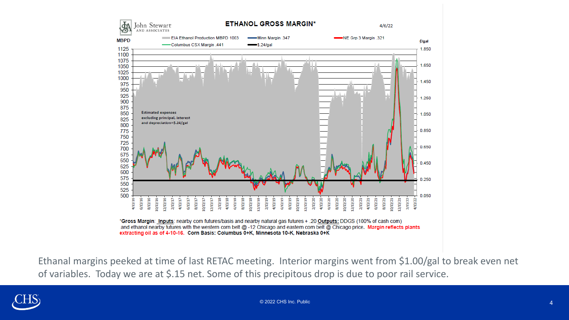

Ethanal margins peeked at time of last RETAC meeting. Interior margins went from \$1.00/gal to break even net of variables. Today we are at \$.15 net. Some of this precipitous drop is due to poor rail service.

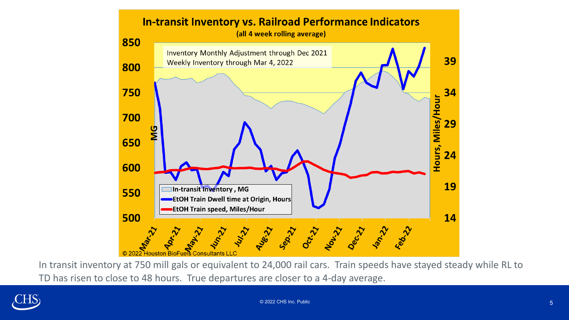

In transit inventory at 750 mill gals or equivalent to 24,000 rail cars. Train speeds have stayed steady while RL to TD has risen to close to 48 hours. True departures are closer to a 4-day average.

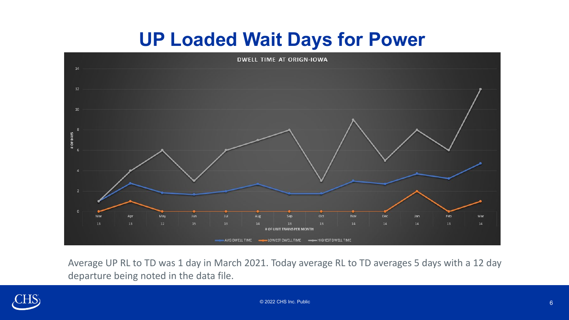### **UP Loaded Wait Days for Power**



Average UP RL to TD was 1 day in March 2021. Today average RL to TD averages 5 days with a 12 day departure being noted in the data file.

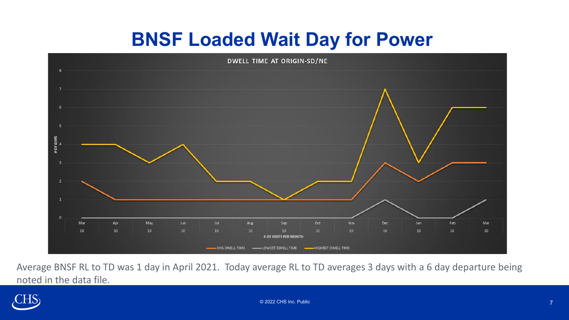## **BNSF Loaded Wait Day for Power**



Average BNSF RL to TD was 1 day in April 2021. Today average RL to TD averages 3 days with a 6 day departure being noted in the data file.

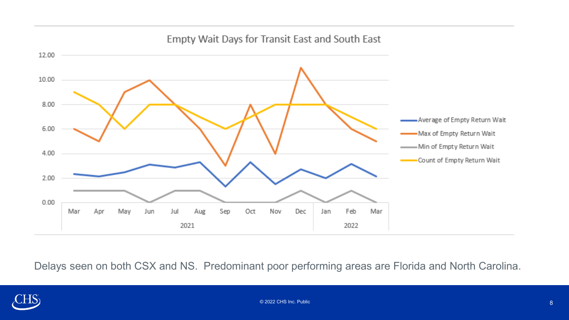#### Empty Wait Days for Transit East and South East



Delays seen on both CSX and NS. Predominant poor performing areas are Florida and North Carolina.

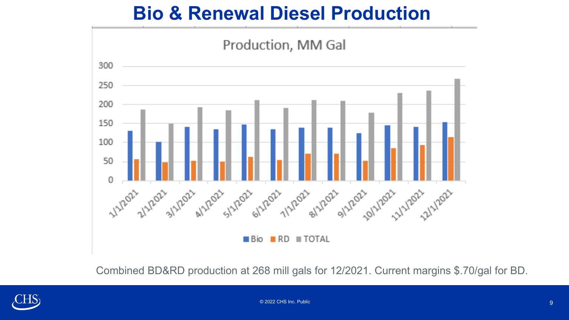## **Bio & Renewal Diesel Production**



Combined BD&RD production at 268 mill gals for 12/2021. Current margins \$.70/gal for BD.

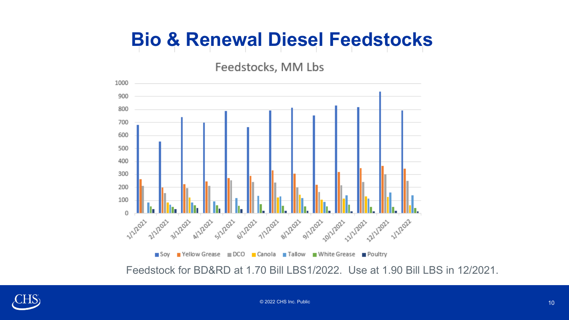### **Bio & Renewal Diesel Feedstocks**

Feedstocks, MM Lbs



Feedstock for BD&RD at 1.70 Bill LBS1/2022. Use at 1.90 Bill LBS in 12/2021.